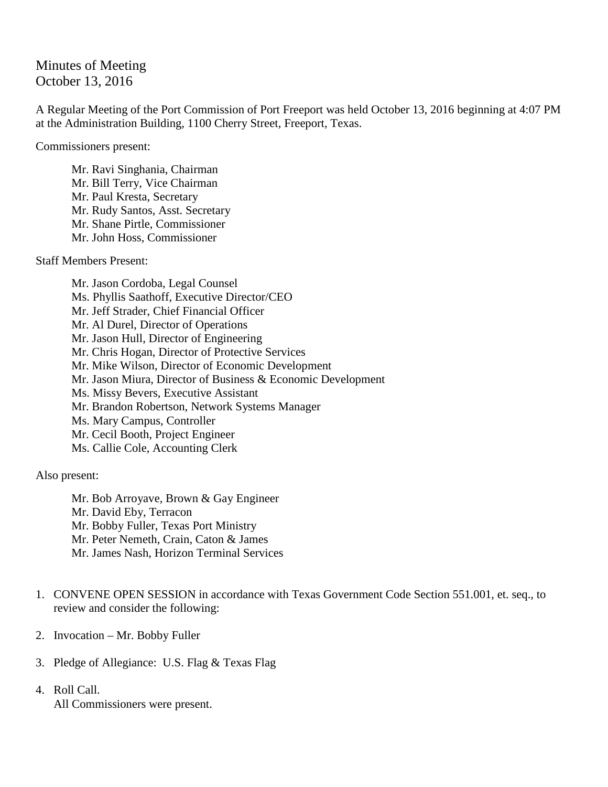## Minutes of Meeting October 13, 2016

A Regular Meeting of the Port Commission of Port Freeport was held October 13, 2016 beginning at 4:07 PM at the Administration Building, 1100 Cherry Street, Freeport, Texas.

Commissioners present:

Mr. Ravi Singhania, Chairman Mr. Bill Terry, Vice Chairman Mr. Paul Kresta, Secretary Mr. Rudy Santos, Asst. Secretary Mr. Shane Pirtle, Commissioner Mr. John Hoss, Commissioner

Staff Members Present:

Mr. Jason Cordoba, Legal Counsel Ms. Phyllis Saathoff, Executive Director/CEO Mr. Jeff Strader, Chief Financial Officer Mr. Al Durel, Director of Operations Mr. Jason Hull, Director of Engineering Mr. Chris Hogan, Director of Protective Services Mr. Mike Wilson, Director of Economic Development Mr. Jason Miura, Director of Business & Economic Development Ms. Missy Bevers, Executive Assistant Mr. Brandon Robertson, Network Systems Manager Ms. Mary Campus, Controller Mr. Cecil Booth, Project Engineer Ms. Callie Cole, Accounting Clerk

Also present:

Mr. Bob Arroyave, Brown & Gay Engineer Mr. David Eby, Terracon Mr. Bobby Fuller, Texas Port Ministry Mr. Peter Nemeth, Crain, Caton & James Mr. James Nash, Horizon Terminal Services

- 1. CONVENE OPEN SESSION in accordance with Texas Government Code Section 551.001, et. seq., to review and consider the following:
- 2. Invocation Mr. Bobby Fuller
- 3. Pledge of Allegiance: U.S. Flag & Texas Flag
- 4. Roll Call. All Commissioners were present.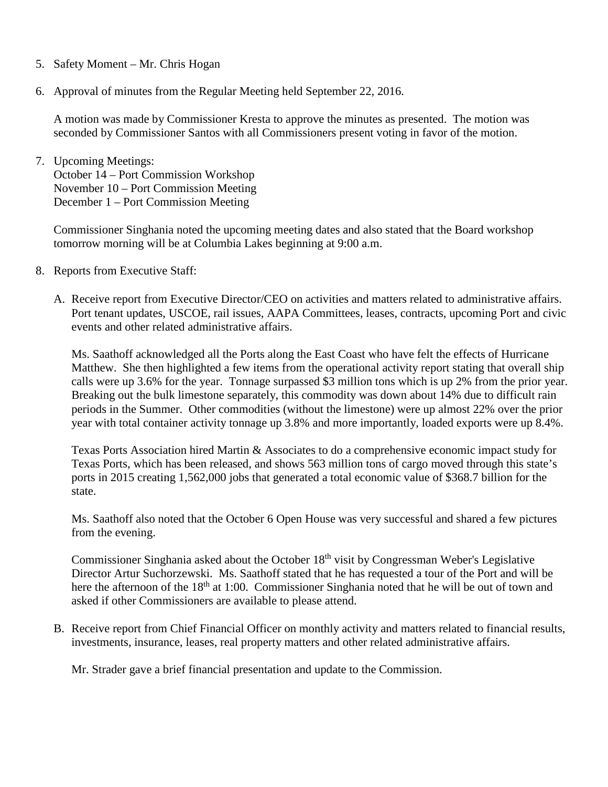- 5. Safety Moment Mr. Chris Hogan
- 6. Approval of minutes from the Regular Meeting held September 22, 2016.

A motion was made by Commissioner Kresta to approve the minutes as presented. The motion was seconded by Commissioner Santos with all Commissioners present voting in favor of the motion.

7. Upcoming Meetings: October 14 – Port Commission Workshop November 10 – Port Commission Meeting December 1 – Port Commission Meeting

Commissioner Singhania noted the upcoming meeting dates and also stated that the Board workshop tomorrow morning will be at Columbia Lakes beginning at 9:00 a.m.

- 8. Reports from Executive Staff:
	- A. Receive report from Executive Director/CEO on activities and matters related to administrative affairs. Port tenant updates, USCOE, rail issues, AAPA Committees, leases, contracts, upcoming Port and civic events and other related administrative affairs.

Ms. Saathoff acknowledged all the Ports along the East Coast who have felt the effects of Hurricane Matthew. She then highlighted a few items from the operational activity report stating that overall ship calls were up 3.6% for the year. Tonnage surpassed \$3 million tons which is up 2% from the prior year. Breaking out the bulk limestone separately, this commodity was down about 14% due to difficult rain periods in the Summer. Other commodities (without the limestone) were up almost 22% over the prior year with total container activity tonnage up 3.8% and more importantly, loaded exports were up 8.4%.

Texas Ports Association hired Martin & Associates to do a comprehensive economic impact study for Texas Ports, which has been released, and shows 563 million tons of cargo moved through this state's ports in 2015 creating 1,562,000 jobs that generated a total economic value of \$368.7 billion for the state.

Ms. Saathoff also noted that the October 6 Open House was very successful and shared a few pictures from the evening.

Commissioner Singhania asked about the October 18<sup>th</sup> visit by Congressman Weber's Legislative Director Artur Suchorzewski. Ms. Saathoff stated that he has requested a tour of the Port and will be here the afternoon of the 18<sup>th</sup> at 1:00. Commissioner Singhania noted that he will be out of town and asked if other Commissioners are available to please attend.

B. Receive report from Chief Financial Officer on monthly activity and matters related to financial results, investments, insurance, leases, real property matters and other related administrative affairs.

Mr. Strader gave a brief financial presentation and update to the Commission.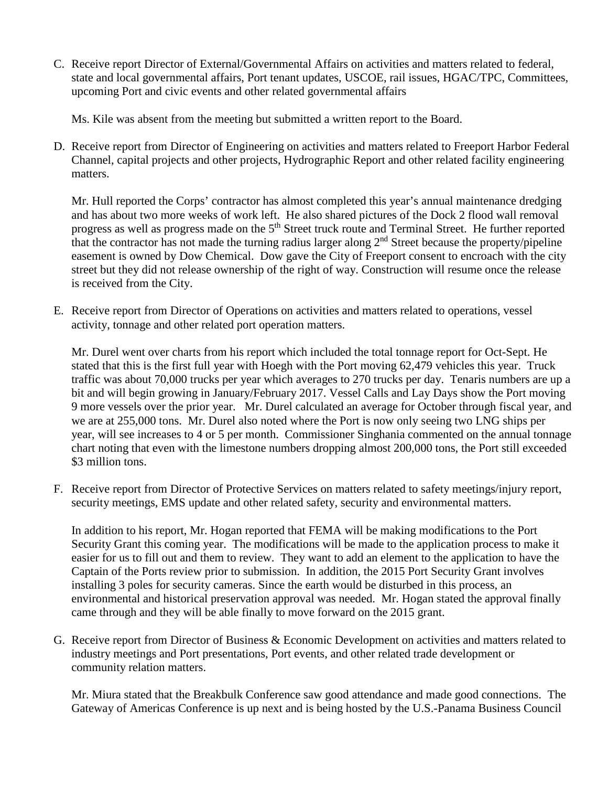C. Receive report Director of External/Governmental Affairs on activities and matters related to federal, state and local governmental affairs, Port tenant updates, USCOE, rail issues, HGAC/TPC, Committees, upcoming Port and civic events and other related governmental affairs

Ms. Kile was absent from the meeting but submitted a written report to the Board.

D. Receive report from Director of Engineering on activities and matters related to Freeport Harbor Federal Channel, capital projects and other projects, Hydrographic Report and other related facility engineering matters.

Mr. Hull reported the Corps' contractor has almost completed this year's annual maintenance dredging and has about two more weeks of work left. He also shared pictures of the Dock 2 flood wall removal progress as well as progress made on the 5<sup>th</sup> Street truck route and Terminal Street. He further reported that the contractor has not made the turning radius larger along 2nd Street because the property/pipeline easement is owned by Dow Chemical. Dow gave the City of Freeport consent to encroach with the city street but they did not release ownership of the right of way. Construction will resume once the release is received from the City.

E. Receive report from Director of Operations on activities and matters related to operations, vessel activity, tonnage and other related port operation matters.

Mr. Durel went over charts from his report which included the total tonnage report for Oct-Sept. He stated that this is the first full year with Hoegh with the Port moving 62,479 vehicles this year. Truck traffic was about 70,000 trucks per year which averages to 270 trucks per day. Tenaris numbers are up a bit and will begin growing in January/February 2017. Vessel Calls and Lay Days show the Port moving 9 more vessels over the prior year. Mr. Durel calculated an average for October through fiscal year, and we are at 255,000 tons. Mr. Durel also noted where the Port is now only seeing two LNG ships per year, will see increases to 4 or 5 per month. Commissioner Singhania commented on the annual tonnage chart noting that even with the limestone numbers dropping almost 200,000 tons, the Port still exceeded \$3 million tons.

F. Receive report from Director of Protective Services on matters related to safety meetings/injury report, security meetings, EMS update and other related safety, security and environmental matters.

In addition to his report, Mr. Hogan reported that FEMA will be making modifications to the Port Security Grant this coming year. The modifications will be made to the application process to make it easier for us to fill out and them to review. They want to add an element to the application to have the Captain of the Ports review prior to submission. In addition, the 2015 Port Security Grant involves installing 3 poles for security cameras. Since the earth would be disturbed in this process, an environmental and historical preservation approval was needed. Mr. Hogan stated the approval finally came through and they will be able finally to move forward on the 2015 grant.

G. Receive report from Director of Business & Economic Development on activities and matters related to industry meetings and Port presentations, Port events, and other related trade development or community relation matters.

Mr. Miura stated that the Breakbulk Conference saw good attendance and made good connections. The Gateway of Americas Conference is up next and is being hosted by the U.S.-Panama Business Council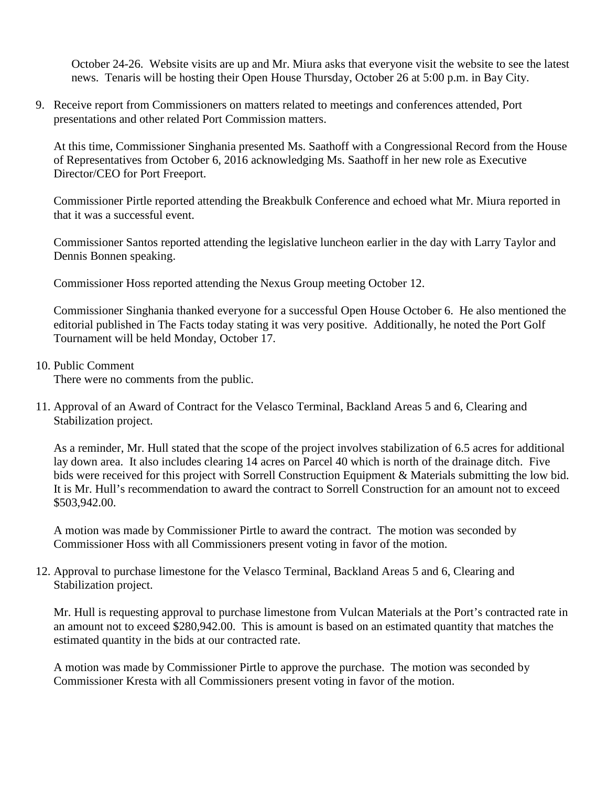October 24-26. Website visits are up and Mr. Miura asks that everyone visit the website to see the latest news. Tenaris will be hosting their Open House Thursday, October 26 at 5:00 p.m. in Bay City.

9. Receive report from Commissioners on matters related to meetings and conferences attended, Port presentations and other related Port Commission matters.

At this time, Commissioner Singhania presented Ms. Saathoff with a Congressional Record from the House of Representatives from October 6, 2016 acknowledging Ms. Saathoff in her new role as Executive Director/CEO for Port Freeport.

Commissioner Pirtle reported attending the Breakbulk Conference and echoed what Mr. Miura reported in that it was a successful event.

Commissioner Santos reported attending the legislative luncheon earlier in the day with Larry Taylor and Dennis Bonnen speaking.

Commissioner Hoss reported attending the Nexus Group meeting October 12.

Commissioner Singhania thanked everyone for a successful Open House October 6. He also mentioned the editorial published in The Facts today stating it was very positive. Additionally, he noted the Port Golf Tournament will be held Monday, October 17.

## 10. Public Comment

There were no comments from the public.

11. Approval of an Award of Contract for the Velasco Terminal, Backland Areas 5 and 6, Clearing and Stabilization project.

As a reminder, Mr. Hull stated that the scope of the project involves stabilization of 6.5 acres for additional lay down area. It also includes clearing 14 acres on Parcel 40 which is north of the drainage ditch. Five bids were received for this project with Sorrell Construction Equipment & Materials submitting the low bid. It is Mr. Hull's recommendation to award the contract to Sorrell Construction for an amount not to exceed \$503,942.00.

A motion was made by Commissioner Pirtle to award the contract. The motion was seconded by Commissioner Hoss with all Commissioners present voting in favor of the motion.

12. Approval to purchase limestone for the Velasco Terminal, Backland Areas 5 and 6, Clearing and Stabilization project.

Mr. Hull is requesting approval to purchase limestone from Vulcan Materials at the Port's contracted rate in an amount not to exceed \$280,942.00. This is amount is based on an estimated quantity that matches the estimated quantity in the bids at our contracted rate.

A motion was made by Commissioner Pirtle to approve the purchase. The motion was seconded by Commissioner Kresta with all Commissioners present voting in favor of the motion.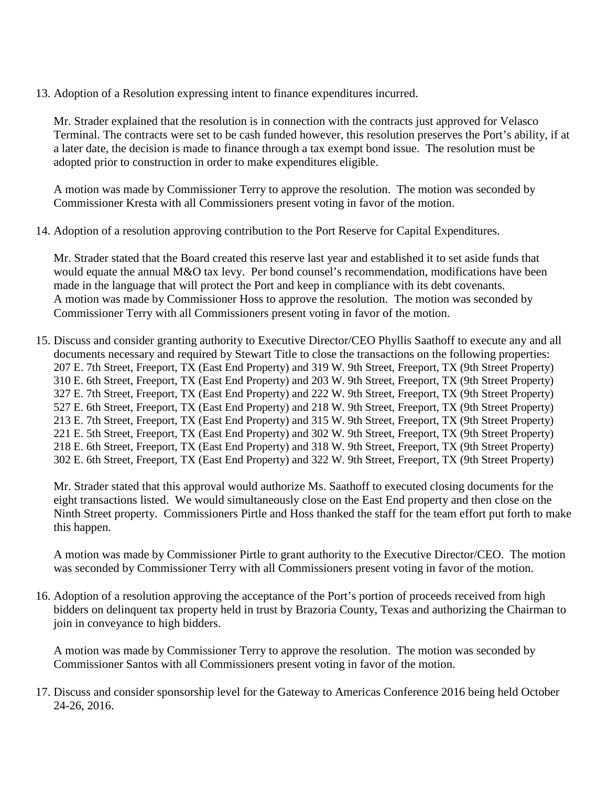13. Adoption of a Resolution expressing intent to finance expenditures incurred.

Mr. Strader explained that the resolution is in connection with the contracts just approved for Velasco Terminal. The contracts were set to be cash funded however, this resolution preserves the Port's ability, if at a later date, the decision is made to finance through a tax exempt bond issue. The resolution must be adopted prior to construction in order to make expenditures eligible.

A motion was made by Commissioner Terry to approve the resolution. The motion was seconded by Commissioner Kresta with all Commissioners present voting in favor of the motion.

14. Adoption of a resolution approving contribution to the Port Reserve for Capital Expenditures.

Mr. Strader stated that the Board created this reserve last year and established it to set aside funds that would equate the annual M&O tax levy. Per bond counsel's recommendation, modifications have been made in the language that will protect the Port and keep in compliance with its debt covenants. A motion was made by Commissioner Hoss to approve the resolution. The motion was seconded by Commissioner Terry with all Commissioners present voting in favor of the motion.

15. Discuss and consider granting authority to Executive Director/CEO Phyllis Saathoff to execute any and all documents necessary and required by Stewart Title to close the transactions on the following properties: 207 E. 7th Street, Freeport, TX (East End Property) and 319 W. 9th Street, Freeport, TX (9th Street Property) 310 E. 6th Street, Freeport, TX (East End Property) and 203 W. 9th Street, Freeport, TX (9th Street Property) 327 E. 7th Street, Freeport, TX (East End Property) and 222 W. 9th Street, Freeport, TX (9th Street Property) 527 E. 6th Street, Freeport, TX (East End Property) and 218 W. 9th Street, Freeport, TX (9th Street Property) 213 E. 7th Street, Freeport, TX (East End Property) and 315 W. 9th Street, Freeport, TX (9th Street Property) 221 E. 5th Street, Freeport, TX (East End Property) and 302 W. 9th Street, Freeport, TX (9th Street Property) 218 E. 6th Street, Freeport, TX (East End Property) and 318 W. 9th Street, Freeport, TX (9th Street Property) 302 E. 6th Street, Freeport, TX (East End Property) and 322 W. 9th Street, Freeport, TX (9th Street Property)

Mr. Strader stated that this approval would authorize Ms. Saathoff to executed closing documents for the eight transactions listed. We would simultaneously close on the East End property and then close on the Ninth Street property. Commissioners Pirtle and Hoss thanked the staff for the team effort put forth to make this happen.

A motion was made by Commissioner Pirtle to grant authority to the Executive Director/CEO. The motion was seconded by Commissioner Terry with all Commissioners present voting in favor of the motion.

16. Adoption of a resolution approving the acceptance of the Port's portion of proceeds received from high bidders on delinquent tax property held in trust by Brazoria County, Texas and authorizing the Chairman to join in conveyance to high bidders.

A motion was made by Commissioner Terry to approve the resolution. The motion was seconded by Commissioner Santos with all Commissioners present voting in favor of the motion.

17. Discuss and consider sponsorship level for the Gateway to Americas Conference 2016 being held October 24-26, 2016.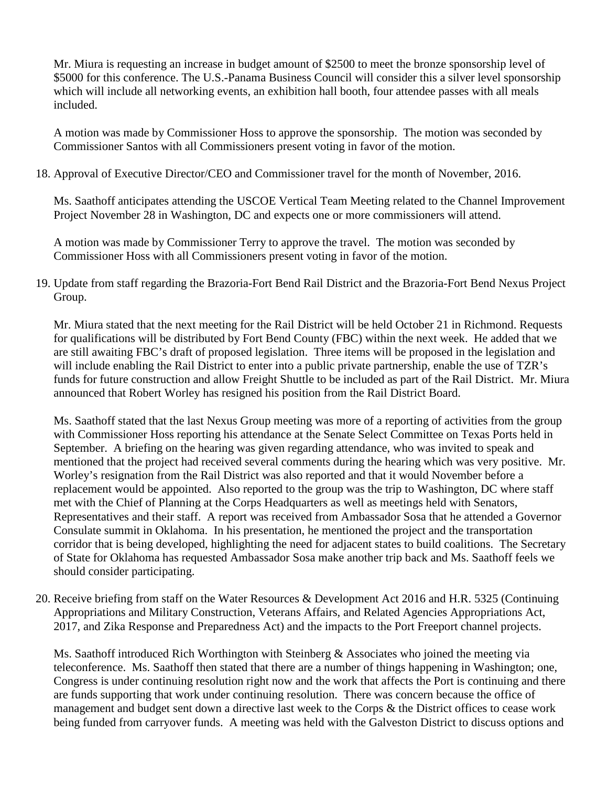Mr. Miura is requesting an increase in budget amount of \$2500 to meet the bronze sponsorship level of \$5000 for this conference. The U.S.-Panama Business Council will consider this a silver level sponsorship which will include all networking events, an exhibition hall booth, four attendee passes with all meals included.

A motion was made by Commissioner Hoss to approve the sponsorship. The motion was seconded by Commissioner Santos with all Commissioners present voting in favor of the motion.

18. Approval of Executive Director/CEO and Commissioner travel for the month of November, 2016.

Ms. Saathoff anticipates attending the USCOE Vertical Team Meeting related to the Channel Improvement Project November 28 in Washington, DC and expects one or more commissioners will attend.

A motion was made by Commissioner Terry to approve the travel. The motion was seconded by Commissioner Hoss with all Commissioners present voting in favor of the motion.

19. Update from staff regarding the Brazoria-Fort Bend Rail District and the Brazoria-Fort Bend Nexus Project Group.

Mr. Miura stated that the next meeting for the Rail District will be held October 21 in Richmond. Requests for qualifications will be distributed by Fort Bend County (FBC) within the next week. He added that we are still awaiting FBC's draft of proposed legislation. Three items will be proposed in the legislation and will include enabling the Rail District to enter into a public private partnership, enable the use of TZR's funds for future construction and allow Freight Shuttle to be included as part of the Rail District. Mr. Miura announced that Robert Worley has resigned his position from the Rail District Board.

Ms. Saathoff stated that the last Nexus Group meeting was more of a reporting of activities from the group with Commissioner Hoss reporting his attendance at the Senate Select Committee on Texas Ports held in September. A briefing on the hearing was given regarding attendance, who was invited to speak and mentioned that the project had received several comments during the hearing which was very positive. Mr. Worley's resignation from the Rail District was also reported and that it would November before a replacement would be appointed. Also reported to the group was the trip to Washington, DC where staff met with the Chief of Planning at the Corps Headquarters as well as meetings held with Senators, Representatives and their staff. A report was received from Ambassador Sosa that he attended a Governor Consulate summit in Oklahoma. In his presentation, he mentioned the project and the transportation corridor that is being developed, highlighting the need for adjacent states to build coalitions. The Secretary of State for Oklahoma has requested Ambassador Sosa make another trip back and Ms. Saathoff feels we should consider participating.

20. Receive briefing from staff on the Water Resources & Development Act 2016 and H.R. 5325 (Continuing Appropriations and Military Construction, Veterans Affairs, and Related Agencies Appropriations Act, 2017, and Zika Response and Preparedness Act) and the impacts to the Port Freeport channel projects.

Ms. Saathoff introduced Rich Worthington with Steinberg & Associates who joined the meeting via teleconference. Ms. Saathoff then stated that there are a number of things happening in Washington; one, Congress is under continuing resolution right now and the work that affects the Port is continuing and there are funds supporting that work under continuing resolution. There was concern because the office of management and budget sent down a directive last week to the Corps & the District offices to cease work being funded from carryover funds. A meeting was held with the Galveston District to discuss options and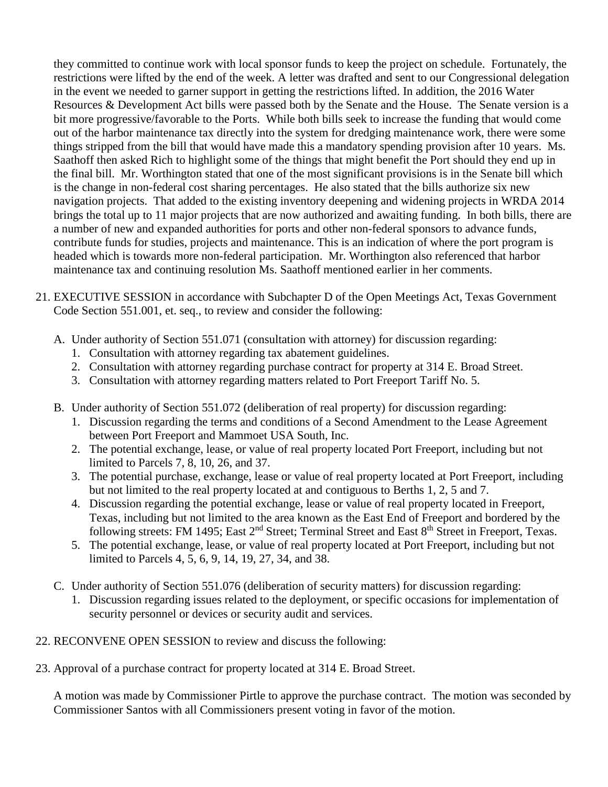they committed to continue work with local sponsor funds to keep the project on schedule. Fortunately, the restrictions were lifted by the end of the week. A letter was drafted and sent to our Congressional delegation in the event we needed to garner support in getting the restrictions lifted. In addition, the 2016 Water Resources & Development Act bills were passed both by the Senate and the House. The Senate version is a bit more progressive/favorable to the Ports. While both bills seek to increase the funding that would come out of the harbor maintenance tax directly into the system for dredging maintenance work, there were some things stripped from the bill that would have made this a mandatory spending provision after 10 years. Ms. Saathoff then asked Rich to highlight some of the things that might benefit the Port should they end up in the final bill. Mr. Worthington stated that one of the most significant provisions is in the Senate bill which is the change in non-federal cost sharing percentages. He also stated that the bills authorize six new navigation projects. That added to the existing inventory deepening and widening projects in WRDA 2014 brings the total up to 11 major projects that are now authorized and awaiting funding. In both bills, there are a number of new and expanded authorities for ports and other non-federal sponsors to advance funds, contribute funds for studies, projects and maintenance. This is an indication of where the port program is headed which is towards more non-federal participation. Mr. Worthington also referenced that harbor maintenance tax and continuing resolution Ms. Saathoff mentioned earlier in her comments.

- 21. EXECUTIVE SESSION in accordance with Subchapter D of the Open Meetings Act, Texas Government Code Section 551.001, et. seq., to review and consider the following:
	- A. Under authority of Section 551.071 (consultation with attorney) for discussion regarding:
		- 1. Consultation with attorney regarding tax abatement guidelines.
		- 2. Consultation with attorney regarding purchase contract for property at 314 E. Broad Street.
		- 3. Consultation with attorney regarding matters related to Port Freeport Tariff No. 5.
	- B. Under authority of Section 551.072 (deliberation of real property) for discussion regarding:
		- 1. Discussion regarding the terms and conditions of a Second Amendment to the Lease Agreement between Port Freeport and Mammoet USA South, Inc.
		- 2. The potential exchange, lease, or value of real property located Port Freeport, including but not limited to Parcels 7, 8, 10, 26, and 37.
		- 3. The potential purchase, exchange, lease or value of real property located at Port Freeport, including but not limited to the real property located at and contiguous to Berths 1, 2, 5 and 7.
		- 4. Discussion regarding the potential exchange, lease or value of real property located in Freeport, Texas, including but not limited to the area known as the East End of Freeport and bordered by the following streets: FM 1495; East 2<sup>nd</sup> Street; Terminal Street and East 8<sup>th</sup> Street in Freeport, Texas.
		- 5. The potential exchange, lease, or value of real property located at Port Freeport, including but not limited to Parcels 4, 5, 6, 9, 14, 19, 27, 34, and 38.
	- C. Under authority of Section 551.076 (deliberation of security matters) for discussion regarding:
		- 1. Discussion regarding issues related to the deployment, or specific occasions for implementation of security personnel or devices or security audit and services.
- 22. RECONVENE OPEN SESSION to review and discuss the following:
- 23. Approval of a purchase contract for property located at 314 E. Broad Street.

A motion was made by Commissioner Pirtle to approve the purchase contract. The motion was seconded by Commissioner Santos with all Commissioners present voting in favor of the motion.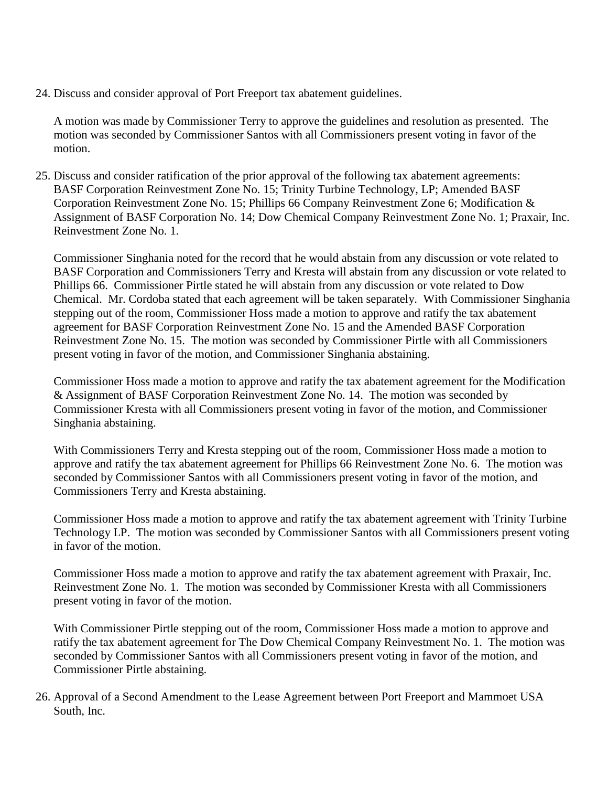24. Discuss and consider approval of Port Freeport tax abatement guidelines.

A motion was made by Commissioner Terry to approve the guidelines and resolution as presented. The motion was seconded by Commissioner Santos with all Commissioners present voting in favor of the motion.

25. Discuss and consider ratification of the prior approval of the following tax abatement agreements: BASF Corporation Reinvestment Zone No. 15; Trinity Turbine Technology, LP; Amended BASF Corporation Reinvestment Zone No. 15; Phillips 66 Company Reinvestment Zone 6; Modification & Assignment of BASF Corporation No. 14; Dow Chemical Company Reinvestment Zone No. 1; Praxair, Inc. Reinvestment Zone No. 1.

Commissioner Singhania noted for the record that he would abstain from any discussion or vote related to BASF Corporation and Commissioners Terry and Kresta will abstain from any discussion or vote related to Phillips 66. Commissioner Pirtle stated he will abstain from any discussion or vote related to Dow Chemical. Mr. Cordoba stated that each agreement will be taken separately. With Commissioner Singhania stepping out of the room, Commissioner Hoss made a motion to approve and ratify the tax abatement agreement for BASF Corporation Reinvestment Zone No. 15 and the Amended BASF Corporation Reinvestment Zone No. 15. The motion was seconded by Commissioner Pirtle with all Commissioners present voting in favor of the motion, and Commissioner Singhania abstaining.

Commissioner Hoss made a motion to approve and ratify the tax abatement agreement for the Modification & Assignment of BASF Corporation Reinvestment Zone No. 14. The motion was seconded by Commissioner Kresta with all Commissioners present voting in favor of the motion, and Commissioner Singhania abstaining.

With Commissioners Terry and Kresta stepping out of the room, Commissioner Hoss made a motion to approve and ratify the tax abatement agreement for Phillips 66 Reinvestment Zone No. 6. The motion was seconded by Commissioner Santos with all Commissioners present voting in favor of the motion, and Commissioners Terry and Kresta abstaining.

Commissioner Hoss made a motion to approve and ratify the tax abatement agreement with Trinity Turbine Technology LP. The motion was seconded by Commissioner Santos with all Commissioners present voting in favor of the motion.

Commissioner Hoss made a motion to approve and ratify the tax abatement agreement with Praxair, Inc. Reinvestment Zone No. 1. The motion was seconded by Commissioner Kresta with all Commissioners present voting in favor of the motion.

With Commissioner Pirtle stepping out of the room, Commissioner Hoss made a motion to approve and ratify the tax abatement agreement for The Dow Chemical Company Reinvestment No. 1. The motion was seconded by Commissioner Santos with all Commissioners present voting in favor of the motion, and Commissioner Pirtle abstaining.

26. Approval of a Second Amendment to the Lease Agreement between Port Freeport and Mammoet USA South, Inc.